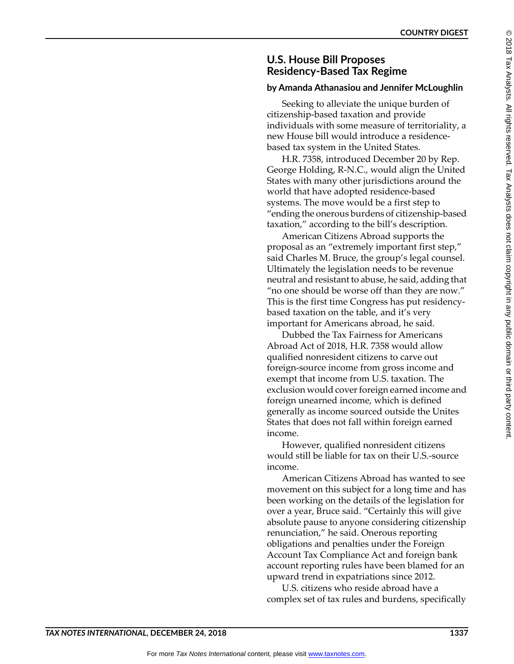## **U.S. House Bill Proposes Residency-Based Tax Regime**

## **by Amanda Athanasiou and Jennifer McLoughlin**

Seeking to alleviate the unique burden of citizenship-based taxation and provide individuals with some measure of territoriality, a new House bill would introduce a residencebased tax system in the United States.

H.R. 7358, introduced December 20 by Rep. George Holding, R-N.C., would align the United States with many other jurisdictions around the world that have adopted residence-based systems. The move would be a first step to "ending the onerous burdens of citizenship-based taxation," according to the bill's description.

American Citizens Abroad supports the proposal as an "extremely important first step," said Charles M. Bruce, the group's legal counsel. Ultimately the legislation needs to be revenue neutral and resistant to abuse, he said, adding that "no one should be worse off than they are now." This is the first time Congress has put residencybased taxation on the table, and it's very important for Americans abroad, he said.

Dubbed the Tax Fairness for Americans Abroad Act of 2018, H.R. 7358 would allow qualified nonresident citizens to carve out foreign-source income from gross income and exempt that income from U.S. taxation. The exclusion would cover foreign earned income and foreign unearned income, which is defined generally as income sourced outside the Unites States that does not fall within foreign earned income.

However, qualified nonresident citizens would still be liable for tax on their U.S.-source income.

American Citizens Abroad has wanted to see movement on this subject for a long time and has been working on the details of the legislation for over a year, Bruce said. "Certainly this will give absolute pause to anyone considering citizenship renunciation," he said. Onerous reporting obligations and penalties under the Foreign Account Tax Compliance Act and foreign bank account reporting rules have been blamed for an upward trend in expatriations since 2012.

U.S. citizens who reside abroad have a complex set of tax rules and burdens, specifically